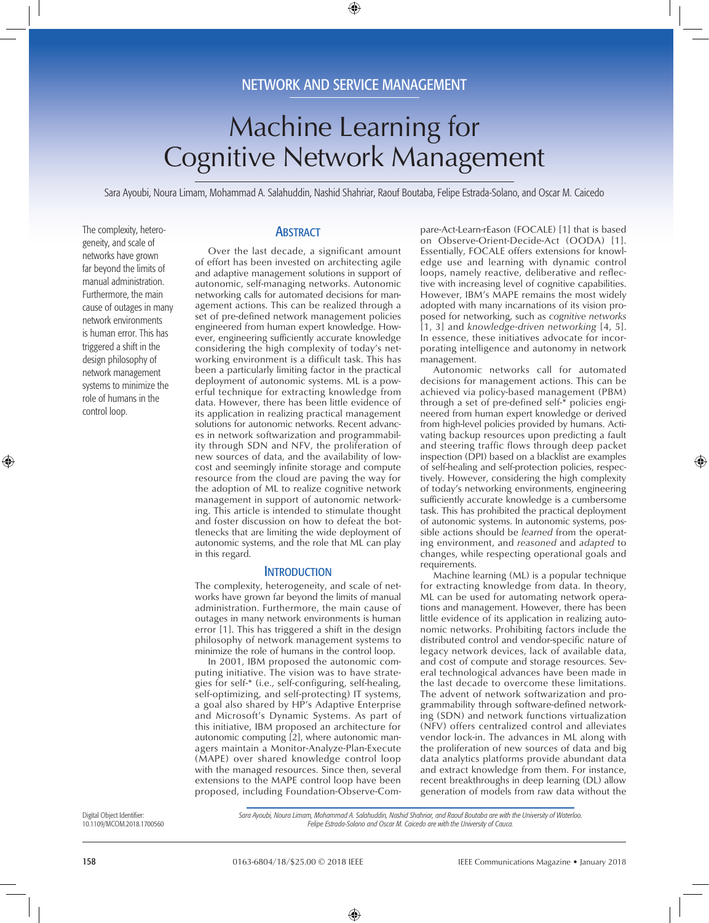# Machine Learning for Cognitive Network Management

Sara Ayoubi, Noura Limam, Mohammad A. Salahuddin, Nashid Shahriar, Raouf Boutaba, Felipe Estrada-Solano, and Oscar M. Caicedo

The complexity, heterogeneity, and scale of networks have grown far beyond the limits of manual administration. Furthermore, the main cause of outages in many network environments is human error. This has triggered a shift in the design philosophy of network management systems to minimize the role of humans in the control loop.

# **ABSTRACT**

Over the last decade, a significant amount of effort has been invested on architecting agile and adaptive management solutions in support of autonomic, self-managing networks. Autonomic networking calls for automated decisions for management actions. This can be realized through a set of pre-defined network management policies engineered from human expert knowledge. However, engineering sufficiently accurate knowledge considering the high complexity of today's networking environment is a difficult task. This has been a particularly limiting factor in the practical deployment of autonomic systems. ML is a powerful technique for extracting knowledge from data. However, there has been little evidence of its application in realizing practical management solutions for autonomic networks. Recent advances in network softwarization and programmability through SDN and NFV, the proliferation of new sources of data, and the availability of lowcost and seemingly infinite storage and compute resource from the cloud are paving the way for the adoption of ML to realize cognitive network management in support of autonomic networking. This article is intended to stimulate thought and foster discussion on how to defeat the bottlenecks that are limiting the wide deployment of autonomic systems, and the role that ML can play in this regard.

#### **INTRODUCTION**

The complexity, heterogeneity, and scale of networks have grown far beyond the limits of manual administration. Furthermore, the main cause of outages in many network environments is human error [1]. This has triggered a shift in the design philosophy of network management systems to minimize the role of humans in the control loop.

In 2001, IBM proposed the autonomic computing initiative. The vision was to have strategies for self-\* (i.e., self-configuring, self-healing, self-optimizing, and self-protecting) IT systems, a goal also shared by HP's Adaptive Enterprise and Microsoft's Dynamic Systems. As part of this initiative, IBM proposed an architecture for autonomic computing [2], where autonomic managers maintain a Monitor-Analyze-Plan-Execute (MAPE) over shared knowledge control loop with the managed resources. Since then, several extensions to the MAPE control loop have been proposed, including Foundation-Observe-Com-

pare-Act-Learn-rEason (FOCALE) [1] that is based on Observe-Orient-Decide-Act (OODA) [1]. Essentially, FOCALE offers extensions for knowledge use and learning with dynamic control loops, namely reactive, deliberative and reflective with increasing level of cognitive capabilities. However, IBM's MAPE remains the most widely adopted with many incarnations of its vision proposed for networking, such as *cognitive networks* [1, 3] and *knowledge-driven networking* [4, 5]. In essence, these initiatives advocate for incorporating intelligence and autonomy in network management.

Autonomic networks call for automated decisions for management actions. This can be achieved via policy-based management (PBM) through a set of pre-defined self-\* policies engineered from human expert knowledge or derived from high-level policies provided by humans. Activating backup resources upon predicting a fault and steering traffic flows through deep packet inspection (DPI) based on a blacklist are examples of self-healing and self-protection policies, respectively. However, considering the high complexity of today's networking environments, engineering sufficiently accurate knowledge is a cumbersome task. This has prohibited the practical deployment of autonomic systems. In autonomic systems, possible actions should be *learned* from the operating environment, and *reasoned* and *adapted* to changes, while respecting operational goals and requirements.

Machine learning (ML) is a popular technique for extracting knowledge from data. In theory, ML can be used for automating network operations and management. However, there has been little evidence of its application in realizing autonomic networks. Prohibiting factors include the distributed control and vendor-specific nature of legacy network devices, lack of available data, and cost of compute and storage resources. Several technological advances have been made in the last decade to overcome these limitations. The advent of network softwarization and programmability through software-defined networking (SDN) and network functions virtualization (NFV) offers centralized control and alleviates vendor lock-in. The advances in ML along with the proliferation of new sources of data and big data analytics platforms provide abundant data and extract knowledge from them. For instance, recent breakthroughs in deep learning (DL) allow generation of models from raw data without the

Digital Object Identifier: 10.1109/MCOM.2018.1700560 *Sara Ayoubi, Noura Limam, Mohammad A. Salahuddin, Nashid Shahriar, and Raouf Boutaba are with the University of Waterloo. Felipe Estrada-Solano and Oscar M. Caicedo are with the University of Cauca.*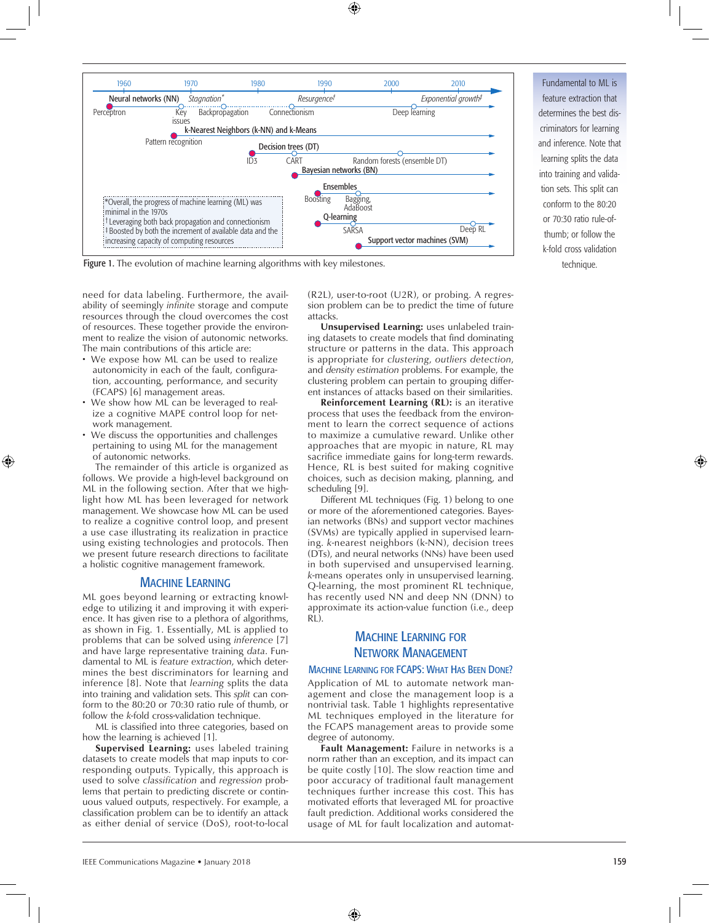

Fundamental to ML is feature extraction that determines the best discriminators for learning and inference. Note that learning splits the data into training and validation sets. This split can conform to the 80:20 or 70:30 ratio rule-ofthumb; or follow the k-fold cross validation

Figure 1. The evolution of machine learning algorithms with key milestones. The matching example are the technique.

need for data labeling. Furthermore, the availability of seemingly *infinite* storage and compute resources through the cloud overcomes the cost of resources. These together provide the environment to realize the vision of autonomic networks. The main contributions of this article are:

- We expose how ML can be used to realize autonomicity in each of the fault, configuration, accounting, performance, and security (FCAPS) [6] management areas.
- We show how ML can be leveraged to realize a cognitive MAPE control loop for network management.
- We discuss the opportunities and challenges pertaining to using ML for the management of autonomic networks.

The remainder of this article is organized as follows. We provide a high-level background on ML in the following section. After that we highlight how ML has been leveraged for network management. We showcase how ML can be used to realize a cognitive control loop, and present a use case illustrating its realization in practice using existing technologies and protocols. Then we present future research directions to facilitate a holistic cognitive management framework.

## Machine Learning

ML goes beyond learning or extracting knowledge to utilizing it and improving it with experience. It has given rise to a plethora of algorithms, as shown in Fig. 1. Essentially, ML is applied to problems that can be solved using *inference* [7] and have large representative training *data*. Fundamental to ML is *feature extraction*, which determines the best discriminators for learning and inference [8]. Note that *learning* splits the data into training and validation sets. This *split* can conform to the 80:20 or 70:30 ratio rule of thumb, or follow the *k*-fold cross-validation technique.

ML is classified into three categories, based on how the learning is achieved [1].

Supervised Learning: uses labeled training datasets to create models that map inputs to corresponding outputs. Typically, this approach is used to solve *classification* and *regression* problems that pertain to predicting discrete or continuous valued outputs, respectively. For example, a classification problem can be to identify an attack as either denial of service (DoS), root-to-local

(R2L), user-to-root (U2R), or probing. A regression problem can be to predict the time of future attacks.

Unsupervised Learning: uses unlabeled training datasets to create models that find dominating structure or patterns in the data. This approach is appropriate for *clustering*, *outliers detection*, and *density estimation* problems. For example, the clustering problem can pertain to grouping different instances of attacks based on their similarities.

Reinforcement Learning (RL): is an iterative process that uses the feedback from the environment to learn the correct sequence of actions to maximize a cumulative reward. Unlike other approaches that are myopic in nature, RL may sacrifice immediate gains for long-term rewards. Hence, RL is best suited for making cognitive choices, such as decision making, planning, and scheduling [9].

Different ML techniques (Fig. 1) belong to one or more of the aforementioned categories. Bayesian networks (BNs) and support vector machines (SVMs) are typically applied in supervised learning. *k*-nearest neighbors (k-NN), decision trees (DTs), and neural networks (NNs) have been used in both supervised and unsupervised learning. *k*-means operates only in unsupervised learning. Q-learning, the most prominent RL technique, has recently used NN and deep NN (DNN) to approximate its action-value function (i.e., deep RL).

# Machine Learning for Network Management

#### Machine Learning for FCAPS: What Has Been Done?

Application of ML to automate network management and close the management loop is a nontrivial task. Table 1 highlights representative ML techniques employed in the literature for the FCAPS management areas to provide some degree of autonomy.

Fault Management: Failure in networks is a norm rather than an exception, and its impact can be quite costly [10]. The slow reaction time and poor accuracy of traditional fault management techniques further increase this cost. This has motivated efforts that leveraged ML for proactive fault prediction. Additional works considered the usage of ML for fault localization and automat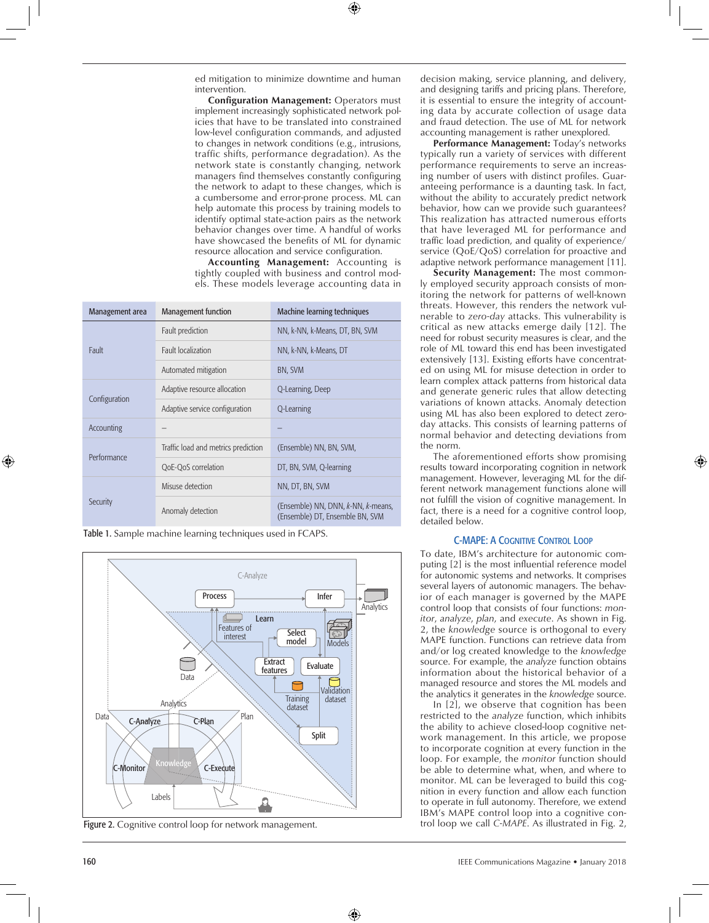ed mitigation to minimize downtime and human intervention.

Configuration Management: Operators must implement increasingly sophisticated network policies that have to be translated into constrained low-level configuration commands, and adjusted to changes in network conditions (e.g., intrusions, traffic shifts, performance degradation). As the network state is constantly changing, network managers find themselves constantly configuring the network to adapt to these changes, which is a cumbersome and error-prone process. ML can help automate this process by training models to identify optimal state-action pairs as the network behavior changes over time. A handful of works have showcased the benefits of ML for dynamic resource allocation and service configuration.

Accounting Management: Accounting is tightly coupled with business and control models. These models leverage accounting data in

| Management area | <b>Management function</b>          | Machine learning techniques                                           |
|-----------------|-------------------------------------|-----------------------------------------------------------------------|
| Fault           | Fault prediction                    | NN, k-NN, k-Means, DT, BN, SVM                                        |
|                 | <b>Fault localization</b>           | NN, k-NN, k-Means, DT                                                 |
|                 | Automated mitigation                | BN, SVM                                                               |
| Configuration   | Adaptive resource allocation        | Q-Learning, Deep                                                      |
|                 | Adaptive service configuration      | Q-Learning                                                            |
| Accounting      |                                     |                                                                       |
| Performance     | Traffic load and metrics prediction | (Ensemble) NN, BN, SVM,                                               |
|                 | QoE-QoS correlation                 | DT, BN, SVM, Q-learning                                               |
| Security        | Misuse detection                    | NN, DT, BN, SVM                                                       |
|                 | Anomaly detection                   | (Ensemble) NN, DNN, k-NN, k-means,<br>(Ensemble) DT, Ensemble BN, SVM |

Table 1. Sample machine learning techniques used in FCAPS.



Figure 2. Cognitive control loop for network management.

decision making, service planning, and delivery, and designing tariffs and pricing plans. Therefore, it is essential to ensure the integrity of accounting data by accurate collection of usage data and fraud detection. The use of ML for network accounting management is rather unexplored.

Performance Management: Today's networks typically run a variety of services with different performance requirements to serve an increasing number of users with distinct profiles. Guaranteeing performance is a daunting task. In fact, without the ability to accurately predict network behavior, how can we provide such guarantees? This realization has attracted numerous efforts that have leveraged ML for performance and traffic load prediction, and quality of experience/ service (QoE/QoS) correlation for proactive and adaptive network performance management [11].

Security Management: The most commonly employed security approach consists of monitoring the network for patterns of well-known threats. However, this renders the network vulnerable to *zero-day* attacks. This vulnerability is critical as new attacks emerge daily [12]. The need for robust security measures is clear, and the role of ML toward this end has been investigated extensively [13]. Existing efforts have concentrated on using ML for misuse detection in order to learn complex attack patterns from historical data and generate generic rules that allow detecting variations of known attacks. Anomaly detection using ML has also been explored to detect zeroday attacks. This consists of learning patterns of normal behavior and detecting deviations from the norm.

The aforementioned efforts show promising results toward incorporating cognition in network management. However, leveraging ML for the different network management functions alone will not fulfill the vision of cognitive management. In fact, there is a need for a cognitive control loop, detailed below.

## C-MAPE: A Cognitive Control Loop

To date, IBM's architecture for autonomic computing [2] is the most influential reference model for autonomic systems and networks. It comprises several layers of autonomic managers. The behavior of each manager is governed by the MAPE control loop that consists of four functions: *monitor*, *analyze*, *plan*, and *execute*. As shown in Fig. 2, the *knowledge* source is orthogonal to every MAPE function. Functions can retrieve data from and/or log created knowledge to the *knowledge* source. For example, the *analyze* function obtains information about the historical behavior of a managed resource and stores the ML models and the analytics it generates in the *knowledge* source.

In [2], we observe that cognition has been restricted to the *analyze* function, which inhibits the ability to achieve closed-loop cognitive network management. In this article, we propose to incorporate cognition at every function in the loop. For example, the *monitor* function should be able to determine what, when, and where to monitor. ML can be leveraged to build this cognition in every function and allow each function to operate in full autonomy. Therefore, we extend IBM's MAPE control loop into a cognitive control loop we call *C-MAPE*. As illustrated in Fig. 2,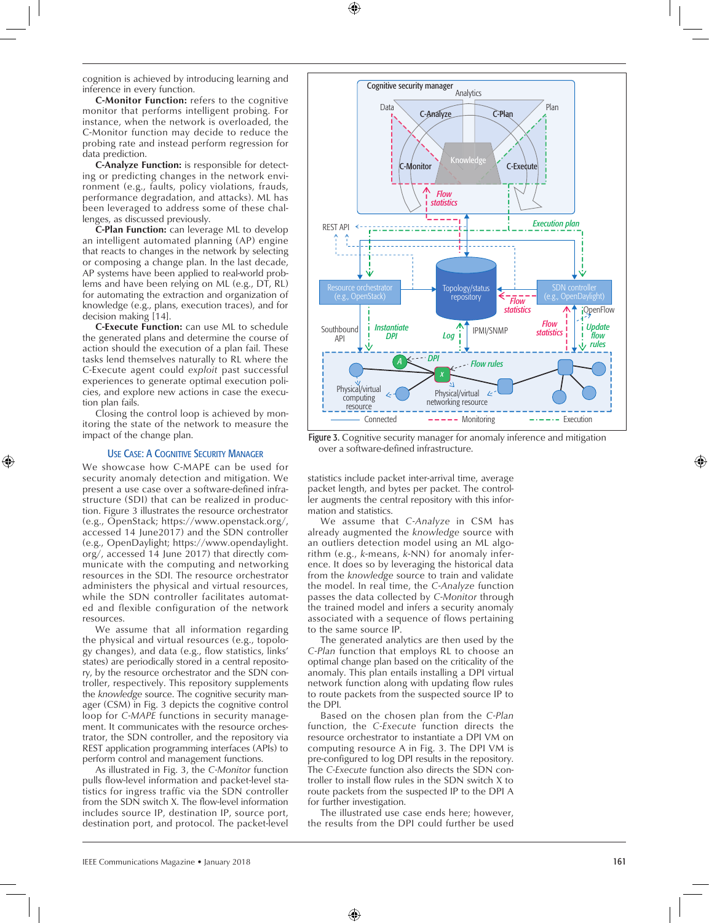cognition is achieved by introducing learning and inference in every function.

C-Monitor Function: refers to the cognitive monitor that performs intelligent probing. For instance, when the network is overloaded, the C-Monitor function may decide to reduce the probing rate and instead perform regression for data prediction.

C-Analyze Function: is responsible for detecting or predicting changes in the network environment (e.g., faults, policy violations, frauds, performance degradation, and attacks). ML has been leveraged to address some of these challenges, as discussed previously.

**C-Plan Function:** can leverage ML to develop an intelligent automated planning (AP) engine that reacts to changes in the network by selecting or composing a change plan. In the last decade, AP systems have been applied to real-world problems and have been relying on ML (e.g., DT, RL) for automating the extraction and organization of knowledge (e.g., plans, execution traces), and for decision making [14].

C-Execute Function: can use ML to schedule the generated plans and determine the course of action should the execution of a plan fail. These tasks lend themselves naturally to RL where the C-Execute agent could *exploit* past successful experiences to generate optimal execution policies, and explore new actions in case the execution plan fails.

Closing the control loop is achieved by monitoring the state of the network to measure the impact of the change plan.

#### Use Case: A Cognitive Security Manager

We showcase how C-MAPE can be used for security anomaly detection and mitigation. We present a use case over a software-defined infrastructure (SDI) that can be realized in production. Figure 3 illustrates the resource orchestrator (e.g., OpenStack; https://www.openstack.org/, accessed 14 June2017) and the SDN controller (e.g., OpenDaylight; https://www.opendaylight. org/, accessed 14 June 2017) that directly communicate with the computing and networking resources in the SDI. The resource orchestrator administers the physical and virtual resources, while the SDN controller facilitates automated and flexible configuration of the network resources.

We assume that all information regarding the physical and virtual resources (e.g., topology changes), and data (e.g., flow statistics, links' states) are periodically stored in a central repository, by the resource orchestrator and the SDN controller, respectively. This repository supplements the *knowledge* source. The cognitive security manager (CSM) in Fig. 3 depicts the cognitive control loop for *C-MAPE* functions in security management. It communicates with the resource orchestrator, the SDN controller, and the repository via REST application programming interfaces (APIs) to perform control and management functions.

As illustrated in Fig. 3, the *C-Monitor* function pulls flow-level information and packet-level statistics for ingress traffic via the SDN controller from the SDN switch X. The flow-level information includes source IP, destination IP, source port, destination port, and protocol. The packet-level



Figure 3. Cognitive security manager for anomaly inference and mitigation over a software-defined infrastructure.

statistics include packet inter-arrival time, average packet length, and bytes per packet. The controller augments the central repository with this information and statistics.

We assume that *C-Analyze* in CSM has already augmented the *knowledge* source with an outliers detection model using an ML algorithm (e.g., *k*-means, *k*-NN) for anomaly inference. It does so by leveraging the historical data from the *knowledge* source to train and validate the model. In real time, the *C-Analyze* function passes the data collected by *C-Monitor* through the trained model and infers a security anomaly associated with a sequence of flows pertaining to the same source IP.

The generated analytics are then used by the *C-Plan* function that employs RL to choose an optimal change plan based on the criticality of the anomaly. This plan entails installing a DPI virtual network function along with updating flow rules to route packets from the suspected source IP to the DPI.

Based on the chosen plan from the *C-Plan* function, the *C-Execute* function directs the resource orchestrator to instantiate a DPI VM on computing resource A in Fig. 3. The DPI VM is pre-configured to log DPI results in the repository. The *C-Execute* function also directs the SDN controller to install flow rules in the SDN switch X to route packets from the suspected IP to the DPI A for further investigation.

The illustrated use case ends here; however, the results from the DPI could further be used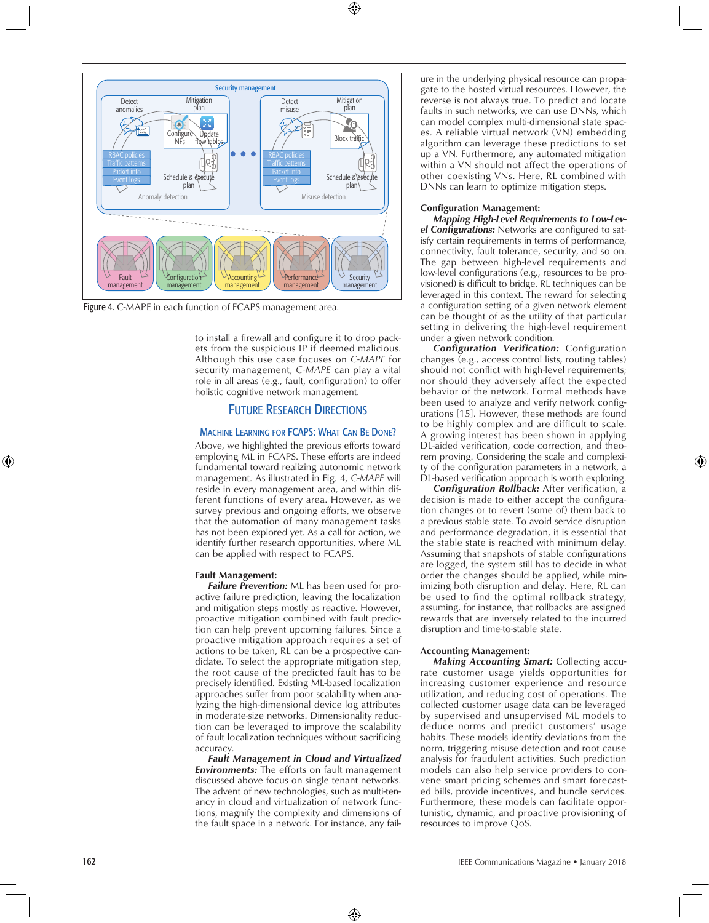

Figure 4. C-MAPE in each function of FCAPS management area.

to install a firewall and configure it to drop packets from the suspicious IP if deemed malicious. Although this use case focuses on *C-MAPE* for security management, *C-MAPE* can play a vital role in all areas (e.g., fault, configuration) to offer holistic cognitive network management.

# Future Research Directions

#### Machine Learning for FCAPS: What Can Be Done?

Above, we highlighted the previous efforts toward employing ML in FCAPS. These efforts are indeed fundamental toward realizing autonomic network management. As illustrated in Fig. 4, *C-MAPE* will reside in every management area, and within different functions of every area. However, as we survey previous and ongoing efforts, we observe that the automation of many management tasks has not been explored yet. As a call for action, we identify further research opportunities, where ML can be applied with respect to FCAPS.

#### Fault Management:

*Failure Prevention:* ML has been used for proactive failure prediction, leaving the localization and mitigation steps mostly as reactive. However, proactive mitigation combined with fault prediction can help prevent upcoming failures. Since a proactive mitigation approach requires a set of actions to be taken, RL can be a prospective candidate. To select the appropriate mitigation step, the root cause of the predicted fault has to be precisely identified. Existing ML-based localization approaches suffer from poor scalability when analyzing the high-dimensional device log attributes in moderate-size networks. Dimensionality reduction can be leveraged to improve the scalability of fault localization techniques without sacrificing accuracy.

*Fault Management in Cloud and Virtualized Environments:* The efforts on fault management discussed above focus on single tenant networks. The advent of new technologies, such as multi-tenancy in cloud and virtualization of network functions, magnify the complexity and dimensions of the fault space in a network. For instance, any failure in the underlying physical resource can propagate to the hosted virtual resources. However, the reverse is not always true. To predict and locate faults in such networks, we can use DNNs, which can model complex multi-dimensional state spaces. A reliable virtual network (VN) embedding algorithm can leverage these predictions to set up a VN. Furthermore, any automated mitigation within a VN should not affect the operations of other coexisting VNs. Here, RL combined with DNNs can learn to optimize mitigation steps.

#### Configuration Management:

*Mapping High-Level Requirements to Low-Level Configurations:* Networks are configured to satisfy certain requirements in terms of performance, connectivity, fault tolerance, security, and so on. The gap between high-level requirements and low-level configurations (e.g., resources to be provisioned) is difficult to bridge. RL techniques can be leveraged in this context. The reward for selecting a configuration setting of a given network element can be thought of as the utility of that particular setting in delivering the high-level requirement under a given network condition.

*Configuration Verification:* Configuration changes (e.g., access control lists, routing tables) should not conflict with high-level requirements; nor should they adversely affect the expected behavior of the network. Formal methods have been used to analyze and verify network configurations [15]. However, these methods are found to be highly complex and are difficult to scale. A growing interest has been shown in applying DL-aided verification, code correction, and theorem proving. Considering the scale and complexity of the configuration parameters in a network, a DL-based verification approach is worth exploring.

*Configuration Rollback:* After verification, a decision is made to either accept the configuration changes or to revert (some of) them back to a previous stable state. To avoid service disruption and performance degradation, it is essential that the stable state is reached with minimum delay. Assuming that snapshots of stable configurations are logged, the system still has to decide in what order the changes should be applied, while minimizing both disruption and delay. Here, RL can be used to find the optimal rollback strategy, assuming, for instance, that rollbacks are assigned rewards that are inversely related to the incurred disruption and time-to-stable state.

#### Accounting Management:

*Making Accounting Smart:* Collecting accurate customer usage yields opportunities for increasing customer experience and resource utilization, and reducing cost of operations. The collected customer usage data can be leveraged by supervised and unsupervised ML models to deduce norms and predict customers' usage habits. These models identify deviations from the norm, triggering misuse detection and root cause analysis for fraudulent activities. Such prediction models can also help service providers to convene smart pricing schemes and smart forecasted bills, provide incentives, and bundle services. Furthermore, these models can facilitate opportunistic, dynamic, and proactive provisioning of resources to improve QoS.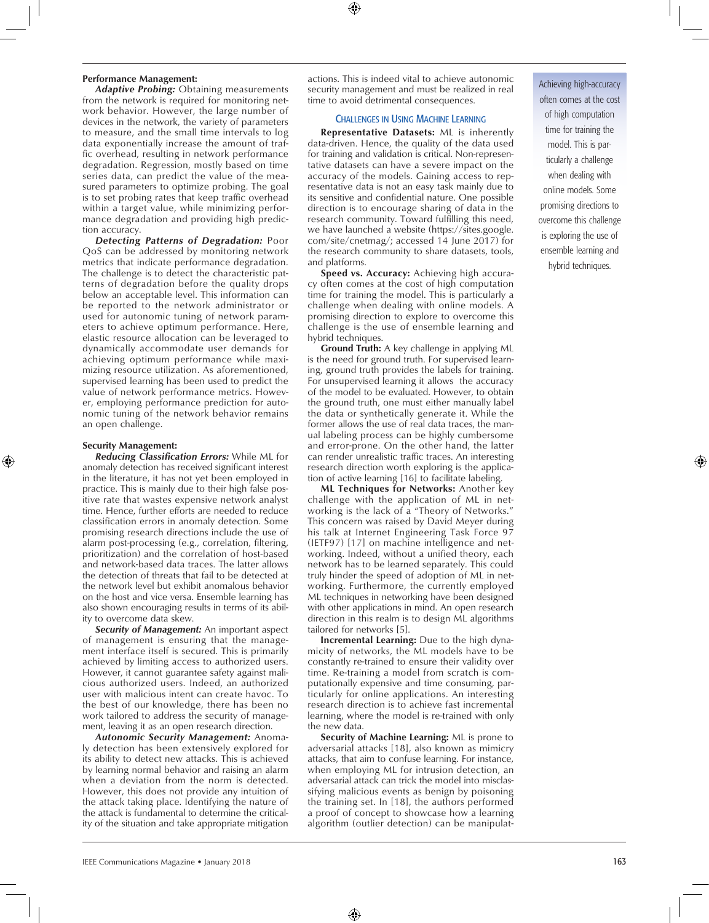#### Performance Management:

*Adaptive Probing:* Obtaining measurements from the network is required for monitoring network behavior. However, the large number of devices in the network, the variety of parameters to measure, and the small time intervals to log data exponentially increase the amount of traffic overhead, resulting in network performance degradation. Regression, mostly based on time series data, can predict the value of the measured parameters to optimize probing. The goal is to set probing rates that keep traffic overhead within a target value, while minimizing performance degradation and providing high prediction accuracy.

*Detecting Patterns of Degradation:* Poor QoS can be addressed by monitoring network metrics that indicate performance degradation. The challenge is to detect the characteristic patterns of degradation before the quality drops below an acceptable level. This information can be reported to the network administrator or used for autonomic tuning of network parameters to achieve optimum performance. Here, elastic resource allocation can be leveraged to dynamically accommodate user demands for achieving optimum performance while maximizing resource utilization. As aforementioned, supervised learning has been used to predict the value of network performance metrics. However, employing performance prediction for autonomic tuning of the network behavior remains an open challenge.

#### Security Management:

*Reducing Classification Errors:* While ML for anomaly detection has received significant interest in the literature, it has not yet been employed in practice. This is mainly due to their high false positive rate that wastes expensive network analyst time. Hence, further efforts are needed to reduce classification errors in anomaly detection. Some promising research directions include the use of alarm post-processing (e.g., correlation, filtering, prioritization) and the correlation of host-based and network-based data traces. The latter allows the detection of threats that fail to be detected at the network level but exhibit anomalous behavior on the host and vice versa. Ensemble learning has also shown encouraging results in terms of its ability to overcome data skew.

*Security of Management:* An important aspect of management is ensuring that the management interface itself is secured. This is primarily achieved by limiting access to authorized users. However, it cannot guarantee safety against malicious authorized users. Indeed, an authorized user with malicious intent can create havoc. To the best of our knowledge, there has been no work tailored to address the security of management, leaving it as an open research direction.

*Autonomic Security Management:* Anomaly detection has been extensively explored for its ability to detect new attacks. This is achieved by learning normal behavior and raising an alarm when a deviation from the norm is detected. However, this does not provide any intuition of the attack taking place. Identifying the nature of the attack is fundamental to determine the criticality of the situation and take appropriate mitigation

actions. This is indeed vital to achieve autonomic security management and must be realized in real time to avoid detrimental consequences.

#### Challenges in Using Machine Learning

Representative Datasets: ML is inherently data-driven. Hence, the quality of the data used for training and validation is critical. Non-representative datasets can have a severe impact on the accuracy of the models. Gaining access to representative data is not an easy task mainly due to its sensitive and confidential nature. One possible direction is to encourage sharing of data in the research community. Toward fulfilling this need, we have launched a website (https://sites.google. com/site/cnetmag/; accessed 14 June 2017) for the research community to share datasets, tools, and platforms.

Speed vs. Accuracy: Achieving high accuracy often comes at the cost of high computation time for training the model. This is particularly a challenge when dealing with online models. A promising direction to explore to overcome this challenge is the use of ensemble learning and hybrid techniques.

Ground Truth: A key challenge in applying ML is the need for ground truth. For supervised learning, ground truth provides the labels for training. For unsupervised learning it allows the accuracy of the model to be evaluated. However, to obtain the ground truth, one must either manually label the data or synthetically generate it. While the former allows the use of real data traces, the manual labeling process can be highly cumbersome and error-prone. On the other hand, the latter can render unrealistic traffic traces. An interesting research direction worth exploring is the application of active learning [16] to facilitate labeling.

ML Techniques for Networks: Another key challenge with the application of ML in networking is the lack of a "Theory of Networks." This concern was raised by David Meyer during his talk at Internet Engineering Task Force 97 (IETF97) [17] on machine intelligence and networking. Indeed, without a unified theory, each network has to be learned separately. This could truly hinder the speed of adoption of ML in networking. Furthermore, the currently employed ML techniques in networking have been designed with other applications in mind. An open research direction in this realm is to design ML algorithms tailored for networks [5].

Incremental Learning: Due to the high dynamicity of networks, the ML models have to be constantly re-trained to ensure their validity over time. Re-training a model from scratch is computationally expensive and time consuming, particularly for online applications. An interesting research direction is to achieve fast incremental learning, where the model is re-trained with only the new data.

Security of Machine Learning: ML is prone to adversarial attacks [18], also known as mimicry attacks, that aim to confuse learning. For instance, when employing ML for intrusion detection, an adversarial attack can trick the model into misclassifying malicious events as benign by poisoning the training set. In [18], the authors performed a proof of concept to showcase how a learning algorithm (outlier detection) can be manipulat-

hybrid techniques.

Achieving high-accuracy often comes at the cost of high computation time for training the model. This is particularly a challenge when dealing with online models. Some promising directions to overcome this challenge is exploring the use of ensemble learning and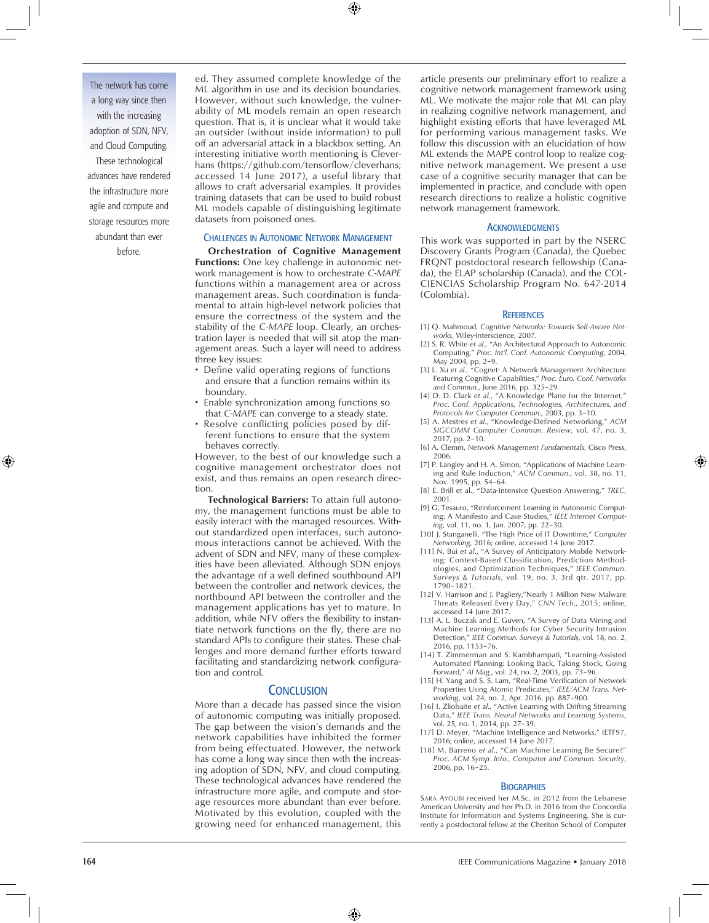The network has come a long way since then with the increasing adoption of SDN, NFV, and Cloud Computing. These technological advances have rendered the infrastructure more agile and compute and storage resources more abundant than ever before.

ed. They assumed complete knowledge of the ML algorithm in use and its decision boundaries. However, without such knowledge, the vulnerability of ML models remain an open research question. That is, it is unclear what it would take an outsider (without inside information) to pull off an adversarial attack in a blackbox setting. An interesting initiative worth mentioning is Cleverhans (https://github.com/tensorflow/cleverhans; accessed 14 June 2017), a useful library that allows to craft adversarial examples. It provides training datasets that can be used to build robust ML models capable of distinguishing legitimate datasets from poisoned ones.

### Challenges in Autonomic Network Management

Orchestration of Cognitive Management Functions: One key challenge in autonomic network management is how to orchestrate *C-MAPE* functions within a management area or across management areas. Such coordination is fundamental to attain high-level network policies that ensure the correctness of the system and the stability of the *C-MAPE* loop. Clearly, an orchestration layer is needed that will sit atop the management areas. Such a layer will need to address three key issues:

- Define valid operating regions of functions and ensure that a function remains within its boundary.
- Enable synchronization among functions so that *C-MAPE* can converge to a steady state.
- Resolve conflicting policies posed by different functions to ensure that the system behaves correctly.

However, to the best of our knowledge such a cognitive management orchestrator does not exist, and thus remains an open research direction.

Technological Barriers: To attain full autonomy, the management functions must be able to easily interact with the managed resources. Without standardized open interfaces, such autonomous interactions cannot be achieved. With the advent of SDN and NFV, many of these complexities have been alleviated. Although SDN enjoys the advantage of a well defined southbound API between the controller and network devices, the northbound API between the controller and the management applications has yet to mature. In addition, while NFV offers the flexibility to instantiate network functions on the fly, there are no standard APIs to configure their states. These challenges and more demand further efforts toward facilitating and standardizing network configuration and control.

#### **CONCLUSION**

More than a decade has passed since the vision of autonomic computing was initially proposed. The gap between the vision's demands and the network capabilities have inhibited the former from being effectuated. However, the network has come a long way since then with the increasing adoption of SDN, NFV, and cloud computing. These technological advances have rendered the infrastructure more agile, and compute and storage resources more abundant than ever before. Motivated by this evolution, coupled with the growing need for enhanced management, this

article presents our preliminary effort to realize a cognitive network management framework using ML. We motivate the major role that ML can play in realizing cognitive network management, and highlight existing efforts that have leveraged ML for performing various management tasks. We follow this discussion with an elucidation of how ML extends the MAPE control loop to realize cognitive network management. We present a use case of a cognitive security manager that can be implemented in practice, and conclude with open research directions to realize a holistic cognitive network management framework.

#### **ACKNOWLEDGMENTS**

This work was supported in part by the NSERC Discovery Grants Program (Canada), the Quebec FRQNT postdoctoral research fellowship (Canada), the ELAP scholarship (Canada), and the COL-CIENCIAS Scholarship Program No. 647-2014 (Colombia).

#### **REFERENCES**

- [1] Q. Mahmoud, *Cognitive Networks: Towards Self-Aware Networks*, Wiley-Interscience, 2007.
- [2] S. R. White *et al*., "An Architectural Approach to Autonomic Computing," *Proc. Int'l. Conf. Autonomic Computing*, 2004, May 2004, pp. 2–9.
- [3] L. Xu *et al*., "Cognet: A Network Management Architecture Featuring Cognitive Capabilities," *Proc. Euro. Conf. Networks and Commun.*, June 2016, pp. 325–29.
- [4] D. D. Clark *et al*., "A Knowledge Plane for the Internet," *Proc. Conf. Applications, Technologies, Architectures, and Protocols for Computer Commun.*, 2003, pp. 3–10.
- [5] A. Mestres *et al*., "Knowledge-Defined Networking," *ACM SIGCOMM Computer Commun. Review*, vol. 47, no. 3, 2017, pp. 2–10.
- [6] A. Clemm, *Network Management Fundamentals*, Cisco Press, 2006.
- [7] P. Langley and H. A. Simon, "Applications of Machine Learning and Rule Induction," *ACM Commun*., vol. 38, no. 11,
- Nov. 1995, pp. 54–64. [8] E. Brill et al., "Data-Intensive Question Answering," *TREC*, 2001.
- [9] G. Tesauro, "Reinforcement Learning in Autonomic Comput-ing: A Manifesto and Case Studies," *IEEE Internet Computing*, vol. 11, no. 1, Jan. 2007, pp. 22–30.
- [10] J. Stanganelli, "The High Price of IT Downtime," *Computer Networking*, 2016; online, accessed 14 June 2017.
- [11] N. Bui *et al*., "A Survey of Anticipatory Mobile Networking: Context-Based Classification, Prediction Methodologies, and Optimization Techniques," *IEEE Commun. Surveys & Tutorials*, vol. 19, no. 3, 3rd qtr. 2017, pp. 1790–1821.
- [12] V. Harrison and J. Pagliery,"Nearly 1 Million New Malware Threats Released Every Day," *CNN Tech*., 2015; online, accessed 14 June 2017.
- [13] A. L. Buczak and E. Guven, "A Survey of Data Mining and Machine Learning Methods for Cyber Security Intrusion Detection," *IEEE Commun. Surveys & Tutorials*, vol. 18, no. 2, 2016, pp. 1153–76.
- [14] T. Zimmerman and S. Kambhampati, "Learning-Assisted Automated Planning: Looking Back, Taking Stock, Going Forward," *AI Mag.*, vol. 24, no. 2, 2003, pp. 73–96.
- [15] H. Yang and S. S. Lam, "Real-Time Verification of Network Properties Using Atomic Predicates," *IEEE/ACM Trans. Networking*, vol. 24, no. 2, Apr. 2016, pp. 887–900.
- [16] I. Zliobaite *et al*., "Active Learning with Drifting Streaming Data," *IEEE Trans. Neural Networks and Learning Systems*, vol. 25, no. 1, 2014, pp. 27–39.
- [17] D. Meyer, "Machine Intelligence and Networks," IETF97, 2016; online, accessed 14 June 2017.
- [18] M. Barreno *et al*., "Can Machine Learning Be Secure?" *Proc. ACM Symp. Info., Computer and Commun. Security*, 2006, pp. 16–25.

#### **BIOGRAPHIES**

Sara Ayoubi received her M.Sc. in 2012 from the Lebanese American University and her Ph.D. in 2016 from the Concordia Institute for Information and Systems Engineering. She is currently a postdoctoral fellow at the Cheriton School of Computer